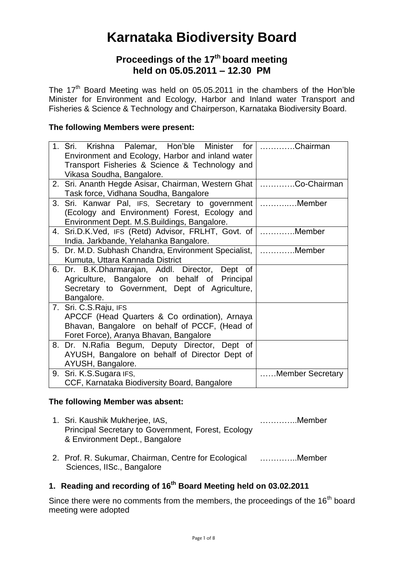# **Karnataka Biodiversity Board**

## **Proceedings of the 17th board meeting held on 05.05.2011 – 12.30 PM**

The 17<sup>th</sup> Board Meeting was held on 05.05.2011 in the chambers of the Hon'ble Minister for Environment and Ecology, Harbor and Inland water Transport and Fisheries & Science & Technology and Chairperson, Karnataka Biodiversity Board.

#### **The following Members were present:**

| 1. Sri. Krishna Palemar, Hon'ble Minister for        | $\ldots$ Chairman |
|------------------------------------------------------|-------------------|
| Environment and Ecology, Harbor and inland water     |                   |
| Transport Fisheries & Science & Technology and       |                   |
| Vikasa Soudha, Bangalore.                            |                   |
| 2. Sri. Ananth Hegde Asisar, Chairman, Western Ghat  | Co-Chairman       |
| Task force, Vidhana Soudha, Bangalore                |                   |
| 3. Sri. Kanwar Pal, IFS, Secretary to government     | Member            |
| (Ecology and Environment) Forest, Ecology and        |                   |
| Environment Dept. M.S.Buildings, Bangalore.          |                   |
| 4. Sri.D.K.Ved, IFS (Retd) Advisor, FRLHT, Govt. of  | $\vert$ Member    |
| India. Jarkbande, Yelahanka Bangalore.               |                   |
| 5. Dr. M.D. Subhash Chandra, Environment Specialist, | Member            |
| Kumuta, Uttara Kannada District                      |                   |
| 6. Dr. B.K.Dharmarajan, Addl. Director, Dept of      |                   |
| Agriculture, Bangalore on behalf of Principal        |                   |
| Secretary to Government, Dept of Agriculture,        |                   |
| Bangalore.                                           |                   |
| 7. Sri. C.S.Raju, IFS                                |                   |
| APCCF (Head Quarters & Co ordination), Arnaya        |                   |
| Bhavan, Bangalore on behalf of PCCF, (Head of        |                   |
| Foret Force), Aranya Bhavan, Bangalore               |                   |
| 8. Dr. N.Rafia Begum, Deputy Director, Dept of       |                   |
| AYUSH, Bangalore on behalf of Director Dept of       |                   |
| AYUSH, Bangalore.                                    |                   |
| 9. Sri. K.S.Sugara IFS,                              | Member Secretary  |
| CCF, Karnataka Biodiversity Board, Bangalore         |                   |

#### **The following Member was absent:**

- 1. Sri. Kaushik Mukherjee, IAS, Principal Secretary to Government, Forest, Ecology & Environment Dept., Bangalore …………..Member
- 2. Prof. R. Sukumar, Chairman, Centre for Ecological Sciences, IISc., Bangalore …………..Member

## **1. Reading and recording of 16 th Board Meeting held on 03.02.2011**

Since there were no comments from the members, the proceedings of the  $16<sup>th</sup>$  board meeting were adopted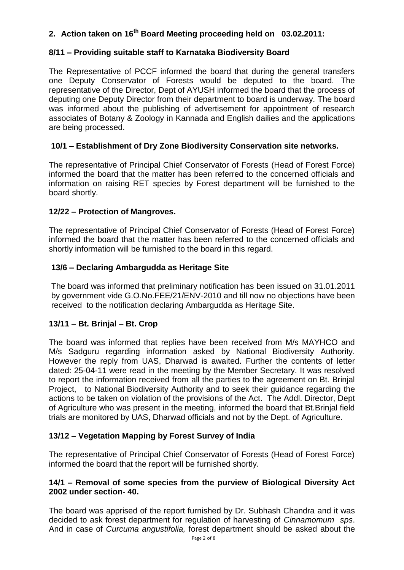## **2. Action taken on 16 th Board Meeting proceeding held on 03.02.2011:**

## **8/11 – Providing suitable staff to Karnataka Biodiversity Board**

The Representative of PCCF informed the board that during the general transfers one Deputy Conservator of Forests would be deputed to the board. The representative of the Director, Dept of AYUSH informed the board that the process of deputing one Deputy Director from their department to board is underway. The board was informed about the publishing of advertisement for appointment of research associates of Botany & Zoology in Kannada and English dailies and the applications are being processed.

## **10/1 – Establishment of Dry Zone Biodiversity Conservation site networks.**

The representative of Principal Chief Conservator of Forests (Head of Forest Force) informed the board that the matter has been referred to the concerned officials and information on raising RET species by Forest department will be furnished to the board shortly.

#### **12/22 – Protection of Mangroves.**

The representative of Principal Chief Conservator of Forests (Head of Forest Force) informed the board that the matter has been referred to the concerned officials and shortly information will be furnished to the board in this regard.

## **13/6 – Declaring Ambargudda as Heritage Site**

The board was informed that preliminary notification has been issued on 31.01.2011 by government vide G.O.No.FEE/21/ENV-2010 and till now no objections have been received to the notification declaring Ambargudda as Heritage Site.

#### **13/11 – Bt. Brinjal – Bt. Crop**

The board was informed that replies have been received from M/s MAYHCO and M/s Sadguru regarding information asked by National Biodiversity Authority. However the reply from UAS, Dharwad is awaited. Further the contents of letter dated: 25-04-11 were read in the meeting by the Member Secretary. It was resolved to report the information received from all the parties to the agreement on Bt. Brinjal Project, to National Biodiversity Authority and to seek their guidance regarding the actions to be taken on violation of the provisions of the Act. The Addl. Director, Dept of Agriculture who was present in the meeting, informed the board that Bt.Brinjal field trials are monitored by UAS, Dharwad officials and not by the Dept. of Agriculture.

## **13/12 – Vegetation Mapping by Forest Survey of India**

The representative of Principal Chief Conservator of Forests (Head of Forest Force) informed the board that the report will be furnished shortly.

#### **14/1 – Removal of some species from the purview of Biological Diversity Act 2002 under section- 40.**

The board was apprised of the report furnished by Dr. Subhash Chandra and it was decided to ask forest department for regulation of harvesting of *Cinnamomum sps*. And in case of *Curcuma angustifolia,* forest department should be asked about the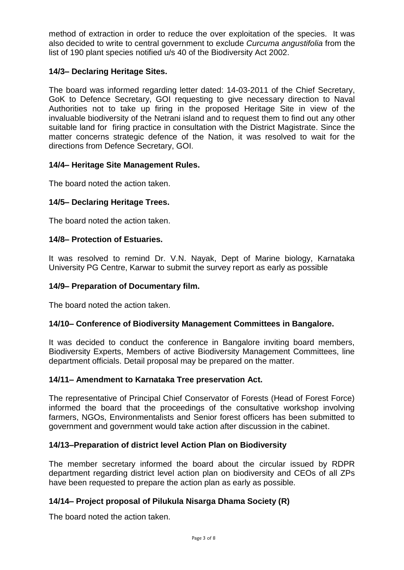method of extraction in order to reduce the over exploitation of the species. It was also decided to write to central government to exclude *Curcuma angustifolia* from the list of 190 plant species notified u/s 40 of the Biodiversity Act 2002.

## **14/3– Declaring Heritage Sites.**

The board was informed regarding letter dated: 14-03-2011 of the Chief Secretary, GoK to Defence Secretary, GOI requesting to give necessary direction to Naval Authorities not to take up firing in the proposed Heritage Site in view of the invaluable biodiversity of the Netrani island and to request them to find out any other suitable land for firing practice in consultation with the District Magistrate. Since the matter concerns strategic defence of the Nation, it was resolved to wait for the directions from Defence Secretary, GOI.

#### **14/4– Heritage Site Management Rules.**

The board noted the action taken.

#### **14/5– Declaring Heritage Trees.**

The board noted the action taken.

#### **14/8– Protection of Estuaries.**

It was resolved to remind Dr. V.N. Nayak, Dept of Marine biology, Karnataka University PG Centre, Karwar to submit the survey report as early as possible

#### **14/9– Preparation of Documentary film.**

The board noted the action taken.

#### **14/10– Conference of Biodiversity Management Committees in Bangalore.**

It was decided to conduct the conference in Bangalore inviting board members, Biodiversity Experts, Members of active Biodiversity Management Committees, line department officials. Detail proposal may be prepared on the matter.

#### **14/11– Amendment to Karnataka Tree preservation Act.**

The representative of Principal Chief Conservator of Forests (Head of Forest Force) informed the board that the proceedings of the consultative workshop involving farmers, NGOs, Environmentalists and Senior forest officers has been submitted to government and government would take action after discussion in the cabinet.

#### **14/13–Preparation of district level Action Plan on Biodiversity**

The member secretary informed the board about the circular issued by RDPR department regarding district level action plan on biodiversity and CEOs of all ZPs have been requested to prepare the action plan as early as possible.

#### **14/14– Project proposal of Pilukula Nisarga Dhama Society (R)**

The board noted the action taken.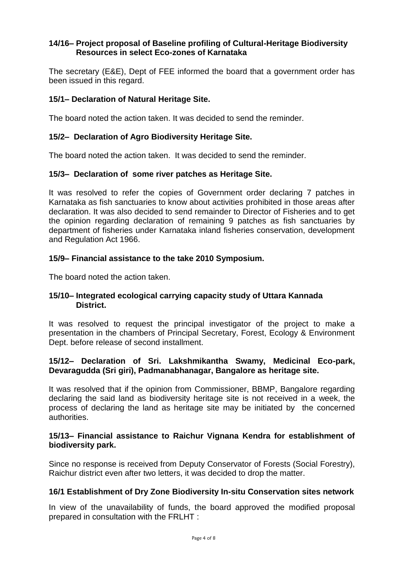## **14/16– Project proposal of Baseline profiling of Cultural-Heritage Biodiversity Resources in select Eco-zones of Karnataka**

The secretary (E&E), Dept of FEE informed the board that a government order has been issued in this regard.

### **15/1– Declaration of Natural Heritage Site.**

The board noted the action taken. It was decided to send the reminder.

#### **15/2– Declaration of Agro Biodiversity Heritage Site.**

The board noted the action taken. It was decided to send the reminder.

## **15/3– Declaration of some river patches as Heritage Site.**

It was resolved to refer the copies of Government order declaring 7 patches in Karnataka as fish sanctuaries to know about activities prohibited in those areas after declaration. It was also decided to send remainder to Director of Fisheries and to get the opinion regarding declaration of remaining 9 patches as fish sanctuaries by department of fisheries under Karnataka inland fisheries conservation, development and Regulation Act 1966.

## **15/9– Financial assistance to the take 2010 Symposium.**

The board noted the action taken.

#### **15/10– Integrated ecological carrying capacity study of Uttara Kannada District.**

It was resolved to request the principal investigator of the project to make a presentation in the chambers of Principal Secretary, Forest, Ecology & Environment Dept. before release of second installment.

#### **15/12– Declaration of Sri. Lakshmikantha Swamy, Medicinal Eco-park, Devaragudda (Sri giri), Padmanabhanagar, Bangalore as heritage site.**

It was resolved that if the opinion from Commissioner, BBMP, Bangalore regarding declaring the said land as biodiversity heritage site is not received in a week, the process of declaring the land as heritage site may be initiated by the concerned authorities.

#### **15/13– Financial assistance to Raichur Vignana Kendra for establishment of biodiversity park.**

Since no response is received from Deputy Conservator of Forests (Social Forestry), Raichur district even after two letters, it was decided to drop the matter.

#### **16/1 Establishment of Dry Zone Biodiversity In-situ Conservation sites network**

In view of the unavailability of funds, the board approved the modified proposal prepared in consultation with the FRLHT :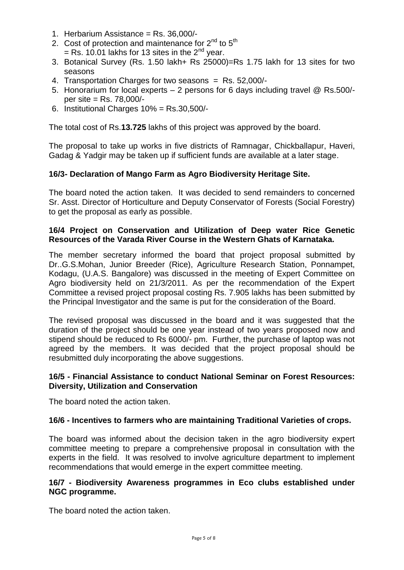- 1. Herbarium Assistance = Rs. 36,000/-
- 2. Cost of protection and maintenance for  $2^{nd}$  to  $5^{th}$  $=$  Rs. 10.01 lakhs for 13 sites in the 2<sup>nd</sup> year.
- 3. Botanical Survey (Rs. 1.50 lakh+ Rs 25000)=Rs 1.75 lakh for 13 sites for two seasons
- 4. Transportation Charges for two seasons = Rs. 52,000/-
- 5. Honorarium for local experts 2 persons for 6 days including travel @ Rs.500/ per site = Rs. 78,000/-
- 6. Institutional Charges 10% = Rs.30,500/-

The total cost of Rs.**13.725** lakhs of this project was approved by the board.

The proposal to take up works in five districts of Ramnagar, Chickballapur, Haveri, Gadag & Yadgir may be taken up if sufficient funds are available at a later stage.

## **16/3- Declaration of Mango Farm as Agro Biodiversity Heritage Site.**

The board noted the action taken. It was decided to send remainders to concerned Sr. Asst. Director of Horticulture and Deputy Conservator of Forests (Social Forestry) to get the proposal as early as possible.

## **16/4 Project on Conservation and Utilization of Deep water Rice Genetic Resources of the Varada River Course in the Western Ghats of Karnataka.**

The member secretary informed the board that project proposal submitted by Dr..G.S.Mohan, Junior Breeder (Rice), Agriculture Research Station, Ponnampet, Kodagu, (U.A.S. Bangalore) was discussed in the meeting of Expert Committee on Agro biodiversity held on 21/3/2011. As per the recommendation of the Expert Committee a revised project proposal costing Rs. 7.905 lakhs has been submitted by the Principal Investigator and the same is put for the consideration of the Board.

The revised proposal was discussed in the board and it was suggested that the duration of the project should be one year instead of two years proposed now and stipend should be reduced to Rs 6000/- pm. Further, the purchase of laptop was not agreed by the members. It was decided that the project proposal should be resubmitted duly incorporating the above suggestions.

#### **16/5 - Financial Assistance to conduct National Seminar on Forest Resources: Diversity, Utilization and Conservation**

The board noted the action taken.

#### **16/6 - Incentives to farmers who are maintaining Traditional Varieties of crops.**

The board was informed about the decision taken in the agro biodiversity expert committee meeting to prepare a comprehensive proposal in consultation with the experts in the field. It was resolved to involve agriculture department to implement recommendations that would emerge in the expert committee meeting.

#### **16/7 - Biodiversity Awareness programmes in Eco clubs established under NGC programme.**

The board noted the action taken.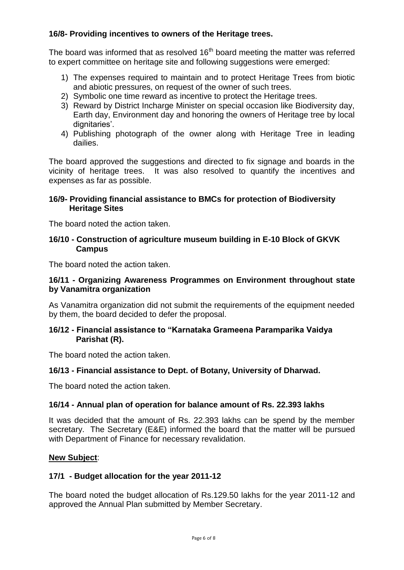## **16/8- Providing incentives to owners of the Heritage trees.**

The board was informed that as resolved 16<sup>th</sup> board meeting the matter was referred to expert committee on heritage site and following suggestions were emerged:

- 1) The expenses required to maintain and to protect Heritage Trees from biotic and abiotic pressures, on request of the owner of such trees.
- 2) Symbolic one time reward as incentive to protect the Heritage trees.
- 3) Reward by District Incharge Minister on special occasion like Biodiversity day, Earth day, Environment day and honoring the owners of Heritage tree by local dignitaries'.
- 4) Publishing photograph of the owner along with Heritage Tree in leading dailies.

The board approved the suggestions and directed to fix signage and boards in the vicinity of heritage trees. It was also resolved to quantify the incentives and expenses as far as possible.

### **16/9- Providing financial assistance to BMCs for protection of Biodiversity Heritage Sites**

The board noted the action taken.

### **16/10 - Construction of agriculture museum building in E-10 Block of GKVK Campus**

The board noted the action taken.

## **16/11 - Organizing Awareness Programmes on Environment throughout state by Vanamitra organization**

As Vanamitra organization did not submit the requirements of the equipment needed by them, the board decided to defer the proposal.

#### **16/12 - Financial assistance to "Karnataka Grameena Paramparika Vaidya Parishat (R).**

The board noted the action taken.

## **16/13 - Financial assistance to Dept. of Botany, University of Dharwad.**

The board noted the action taken.

#### **16/14 - Annual plan of operation for balance amount of Rs. 22.393 lakhs**

It was decided that the amount of Rs. 22.393 lakhs can be spend by the member secretary. The Secretary (E&E) informed the board that the matter will be pursued with Department of Finance for necessary revalidation.

#### **New Subject**:

## **17/1 - Budget allocation for the year 2011-12**

The board noted the budget allocation of Rs.129.50 lakhs for the year 2011-12 and approved the Annual Plan submitted by Member Secretary.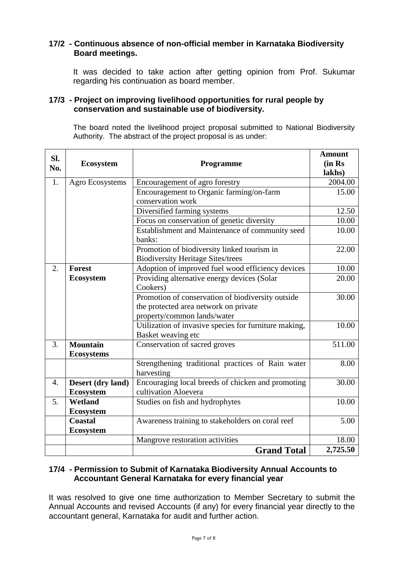## **17/2 - Continuous absence of non-official member in Karnataka Biodiversity Board meetings.**

It was decided to take action after getting opinion from Prof. Sukumar regarding his continuation as board member.

#### **17/3 - Project on improving livelihood opportunities for rural people by conservation and sustainable use of biodiversity.**

The board noted the livelihood project proposal submitted to National Biodiversity Authority. The abstract of the project proposal is as under:

| SI.<br>No. | <b>Ecosystem</b>  | <b>Programme</b>                                      | <b>Amount</b><br>(in Rs |
|------------|-------------------|-------------------------------------------------------|-------------------------|
|            |                   |                                                       | lakhs)                  |
| 1.         | Agro Ecosystems   | Encouragement of agro forestry                        | 2004.00                 |
|            |                   | Encouragement to Organic farming/on-farm              | 15.00                   |
|            |                   | conservation work                                     |                         |
|            |                   | Diversified farming systems                           | 12.50                   |
|            |                   | Focus on conservation of genetic diversity            | 10.00                   |
|            |                   | Establishment and Maintenance of community seed       | 10.00                   |
|            |                   | banks:                                                |                         |
|            |                   | Promotion of biodiversity linked tourism in           | 22.00                   |
|            |                   | <b>Biodiversity Heritage Sites/trees</b>              |                         |
| 2.         | <b>Forest</b>     | Adoption of improved fuel wood efficiency devices     | 10.00                   |
|            | <b>Ecosystem</b>  | Providing alternative energy devices (Solar           | 20.00                   |
|            |                   | Cookers)                                              |                         |
|            |                   | Promotion of conservation of biodiversity outside     | 30.00                   |
|            |                   | the protected area network on private                 |                         |
|            |                   | property/common lands/water                           |                         |
|            |                   | Utilization of invasive species for furniture making, | 10.00                   |
|            |                   | Basket weaving etc                                    |                         |
| 3.         | <b>Mountain</b>   | Conservation of sacred groves                         | 511.00                  |
|            | <b>Ecosystems</b> |                                                       |                         |
|            |                   | Strengthening traditional practices of Rain water     | 8.00                    |
|            |                   | harvesting                                            |                         |
| 4.         | Desert (dry land) | Encouraging local breeds of chicken and promoting     | 30.00                   |
|            | <b>Ecosystem</b>  | cultivation Aloevera                                  |                         |
| 5.         | Wetland           | Studies on fish and hydrophytes                       | 10.00                   |
|            | <b>Ecosystem</b>  |                                                       |                         |
|            | <b>Coastal</b>    | Awareness training to stakeholders on coral reef      | 5.00                    |
|            | <b>Ecosystem</b>  |                                                       |                         |
|            |                   | Mangrove restoration activities                       | 18.00                   |
|            |                   | <b>Grand Total</b>                                    | 2,725.50                |

#### **17/4 - Permission to Submit of Karnataka Biodiversity Annual Accounts to Accountant General Karnataka for every financial year**

It was resolved to give one time authorization to Member Secretary to submit the Annual Accounts and revised Accounts (if any) for every financial year directly to the accountant general, Karnataka for audit and further action.